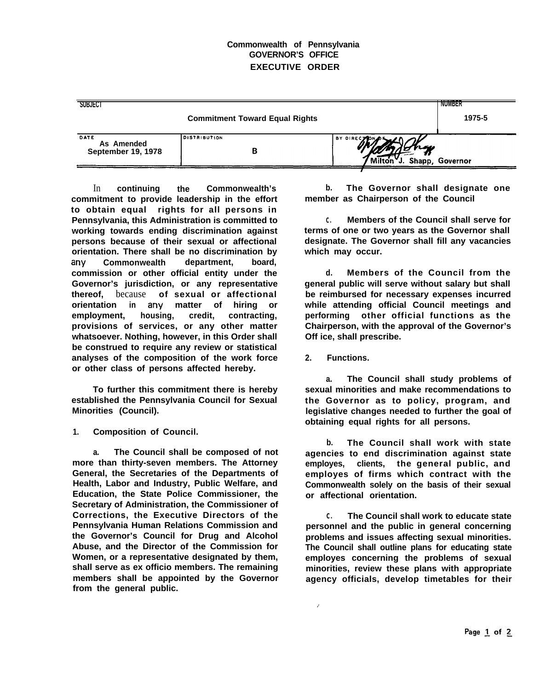## **Commonwealth of Pennsylvania GOVERNOR'S OFFICE EXECUTIVE ORDER**

| SUBJECT                                         |                          |                             | <b>NUMBER</b>   |
|-------------------------------------------------|--------------------------|-----------------------------|-----------------|
| <b>Commitment Toward Equal Rights</b>           |                          |                             | 1975-5          |
| DATE<br>As Amended<br><b>September 19, 1978</b> | <b>DISTRIBUTION</b><br>В | BY DIRECTOR OR<br>nav<br>J. | Shapp, Governor |

In **continuing the Commonwealth's commitment to provide leadership in the effort to obtain equal rights for all persons in Pennsylvania, this Administration is committed to working towards ending discrimination against persons because of their sexual or affectional orientation. There shall be no discrimination by any Commonwealth department, board, commission or other official entity under the Governor's jurisdiction, or any representative thereof,** because **of sexual or affectional orientation in any matter of hiring or**  $employment,$ **provisions of services, or any other matter whatsoever. Nothing, however, in this Order shall be construed to require any review or statistical analyses of the composition of the work force or other class of persons affected hereby.**

**To further this commitment there is hereby established the Pennsylvania Council for Sexual Minorities (Council).**

**1. Composition of Council.**

**a. The Council shall be composed of not more than thirty-seven members. The Attorney General, the Secretaries of the Departments of Health, Labor and Industry, Public Welfare, and Education, the State Police Commissioner, the Secretary of Administration, the Commissioner of Corrections, the Executive Directors of the Pennsylvania Human Relations Commission and the Governor's Council for Drug and Alcohol Abuse, and the Director of the Commission for Women, or a representative designated by them, shall serve as ex officio members. The remaining members shall be appointed by the Governor from the general public.**

**b. The Governor shall designate one member as Chairperson of the Council**

**C. Members of the Council shall serve for terms of one or two years as the Governor shall designate. The Governor shall fill any vacancies which may occur.**

**d. Members of the Council from the general public will serve without salary but shall be reimbursed for necessary expenses incurred while attending official Council meetings and performing other official functions as the Chairperson, with the approval of the Governor's Off ice, shall prescribe.**

**2. Functions.**

 $\overline{ }$ 

**a. The Council shall study problems of sexual minorities and make recommendations to the Governor as to policy, program, and legislative changes needed to further the goal of obtaining equal rights for all persons.**

**b. The Council shall work with state agencies to end discrimination against state employes, clients, the general public, and employes of firms which contract with the Commonwealth solely on the basis of their sexual or affectional orientation.**

**C. The Council shall work to educate state personnel and the public in general concerning problems and issues affecting sexual minorities. The Council shall outline plans for educating state employes concerning the problems of sexual minorities, review these plans with appropriate agency officials, develop timetables for their**